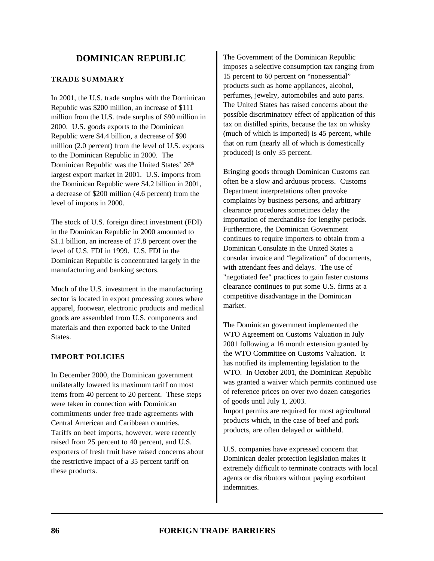# **DOMINICAN REPUBLIC**

### **TRADE SUMMARY**

In 2001, the U.S. trade surplus with the Dominican Republic was \$200 million, an increase of \$111 million from the U.S. trade surplus of \$90 million in 2000. U.S. goods exports to the Dominican Republic were \$4.4 billion, a decrease of \$90 million (2.0 percent) from the level of U.S. exports to the Dominican Republic in 2000. The Dominican Republic was the United States' 26<sup>th</sup> largest export market in 2001. U.S. imports from the Dominican Republic were \$4.2 billion in 2001, a decrease of \$200 million (4.6 percent) from the level of imports in 2000.

The stock of U.S. foreign direct investment (FDI) in the Dominican Republic in 2000 amounted to \$1.1 billion, an increase of 17.8 percent over the level of U.S. FDI in 1999. U.S. FDI in the Dominican Republic is concentrated largely in the manufacturing and banking sectors.

Much of the U.S. investment in the manufacturing sector is located in export processing zones where apparel, footwear, electronic products and medical goods are assembled from U.S. components and materials and then exported back to the United States.

### **IMPORT POLICIES**

In December 2000, the Dominican government unilaterally lowered its maximum tariff on most items from 40 percent to 20 percent. These steps were taken in connection with Dominican commitments under free trade agreements with Central American and Caribbean countries. Tariffs on beef imports, however, were recently raised from 25 percent to 40 percent, and U.S. exporters of fresh fruit have raised concerns about the restrictive impact of a 35 percent tariff on these products.

The Government of the Dominican Republic imposes a selective consumption tax ranging from 15 percent to 60 percent on "nonessential" products such as home appliances, alcohol, perfumes, jewelry, automobiles and auto parts. The United States has raised concerns about the possible discriminatory effect of application of this tax on distilled spirits, because the tax on whisky (much of which is imported) is 45 percent, while that on rum (nearly all of which is domestically produced) is only 35 percent.

Bringing goods through Dominican Customs can often be a slow and arduous process. Customs Department interpretations often provoke complaints by business persons, and arbitrary clearance procedures sometimes delay the importation of merchandise for lengthy periods. Furthermore, the Dominican Government continues to require importers to obtain from a Dominican Consulate in the United States a consular invoice and "legalization" of documents, with attendant fees and delays. The use of "negotiated fee" practices to gain faster customs clearance continues to put some U.S. firms at a competitive disadvantage in the Dominican market.

The Dominican government implemented the WTO Agreement on Customs Valuation in July 2001 following a 16 month extension granted by the WTO Committee on Customs Valuation. It has notified its implementing legislation to the WTO. In October 2001, the Dominican Republic was granted a waiver which permits continued use of reference prices on over two dozen categories of goods until July 1, 2003. Import permits are required for most agricultural products which, in the case of beef and pork products, are often delayed or withheld.

U.S. companies have expressed concern that Dominican dealer protection legislation makes it extremely difficult to terminate contracts with local agents or distributors without paying exorbitant indemnities.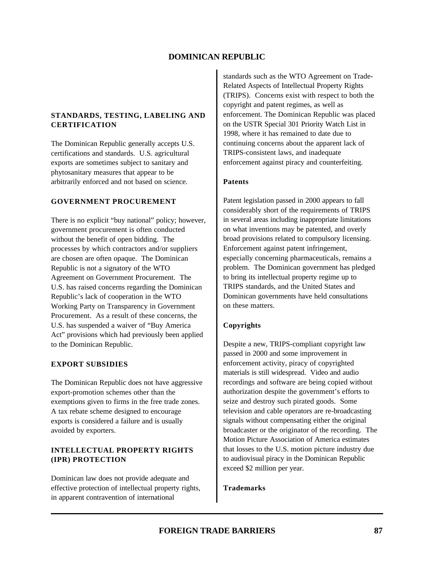# **DOMINICAN REPUBLIC**

## **STANDARDS, TESTING, LABELING AND CERTIFICATION**

The Dominican Republic generally accepts U.S. certifications and standards. U.S. agricultural exports are sometimes subject to sanitary and phytosanitary measures that appear to be arbitrarily enforced and not based on science.

### **GOVERNMENT PROCUREMENT**

There is no explicit "buy national" policy; however, government procurement is often conducted without the benefit of open bidding. The processes by which contractors and/or suppliers are chosen are often opaque. The Dominican Republic is not a signatory of the WTO Agreement on Government Procurement. The U.S. has raised concerns regarding the Dominican Republic's lack of cooperation in the WTO Working Party on Transparency in Government Procurement. As a result of these concerns, the U.S. has suspended a waiver of "Buy America Act" provisions which had previously been applied to the Dominican Republic.

### **EXPORT SUBSIDIES**

The Dominican Republic does not have aggressive export-promotion schemes other than the exemptions given to firms in the free trade zones. A tax rebate scheme designed to encourage exports is considered a failure and is usually avoided by exporters.

# **INTELLECTUAL PROPERTY RIGHTS (IPR) PROTECTION**

Dominican law does not provide adequate and effective protection of intellectual property rights, in apparent contravention of international

standards such as the WTO Agreement on Trade-Related Aspects of Intellectual Property Rights (TRIPS). Concerns exist with respect to both the copyright and patent regimes, as well as enforcement. The Dominican Republic was placed on the USTR Special 301 Priority Watch List in 1998, where it has remained to date due to continuing concerns about the apparent lack of TRIPS-consistent laws, and inadequate enforcement against piracy and counterfeiting.

### **Patents**

Patent legislation passed in 2000 appears to fall considerably short of the requirements of TRIPS in several areas including inappropriate limitations on what inventions may be patented, and overly broad provisions related to compulsory licensing. Enforcement against patent infringement, especially concerning pharmaceuticals, remains a problem. The Dominican government has pledged to bring its intellectual property regime up to TRIPS standards, and the United States and Dominican governments have held consultations on these matters.

### **Copyrights**

Despite a new, TRIPS-compliant copyright law passed in 2000 and some improvement in enforcement activity, piracy of copyrighted materials is still widespread. Video and audio recordings and software are being copied without authorization despite the government's efforts to seize and destroy such pirated goods. Some television and cable operators are re-broadcasting signals without compensating either the original broadcaster or the originator of the recording. The Motion Picture Association of America estimates that losses to the U.S. motion picture industry due to audiovisual piracy in the Dominican Republic exceed \$2 million per year.

### **Trademarks**